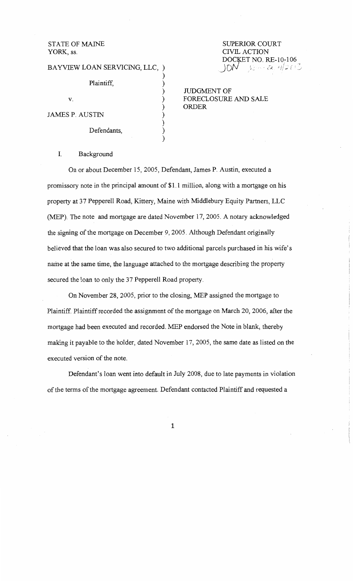STATE OF MAINE YORK, ss.

| BAYVIEW LOAN SERVICING, LLC, ) |  |  |  |  |
|--------------------------------|--|--|--|--|
|                                |  |  |  |  |
| Plaintiff,                     |  |  |  |  |
| V.                             |  |  |  |  |
|                                |  |  |  |  |
| JAMES P. AUSTIN                |  |  |  |  |
|                                |  |  |  |  |
| Defendants,                    |  |  |  |  |
|                                |  |  |  |  |

SUPERIOR COURT CIVIL ACTION **DOCKET NO. RE-10-106**<br>JON =  $6.42421$ 

JUDGMENT OF FORECLOSURE AND SALE ORDER

# I. Background

On or about December 15, 2005, Defendant, James P. Austin, executed a promissory note in the principal amount of \$1.1 million, along with a mortgage on his property at 37 Pepperell Road, Kittery, Maine with Middlebury Equity Partners, LLC (MEP). The note and mortgage are dated November 17, 2005. A notary acknowledged the signing of the mortgage on December 9, 2005. Although Defendant originally believed that the loan was also secured to two additional parcels purchased in his wife's name at the same time, the language attached to the mortgage describing the property secured the loan to only the 37 Pepperell Road property.

On November 28, 2005, prior to the closing, MEP assigned the mortgage to Plaintiff Plaintiff recorded the assignment of the mortgage on March 20, 2006, after the mortgage had been executed and recorded. MEP endorsed the Note in blank; thereby making it payable to the holder, dated November 17, 2005, the same date as listed on the executed version of the note.

Defendant's loan went into default in July 2008, due to late payments in violation of the terms of the mortgage agreement. Defendant contacted Plaintiff and requested a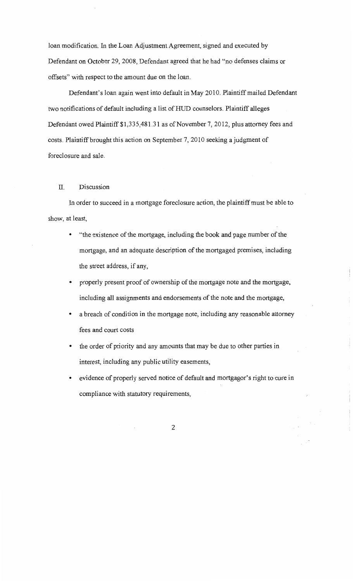loan modification. In the Loan Adjustment Agreement, signed and executed by Defendant on October 29, 2008, Defendant agreed that he had "no defenses claims or offsets" with respect to the amount due on the loan.

Defendant's loan again went into default in May 2010. Plaintiff mailed Defendant two notifications of default including a list of HUD counselors. Plaintiff alleges Defendant owed Plaintiff \$1,335,481.31 as of November 7, 2012, plus attorney fees and costs. Plaintiff brought this action on September 7, 2010 seeking a judgment of foreclosure and sale.

### II. Discussion

In order to succeed in a mortgage foreclosure action, the plaintiff must be able to show, at least,

- "the existence of the mortgage, including the book and page number of the mortgage, and an adequate description of the mortgaged premises, including the street address, if any,
- properly present proof of ownership of the mortgage note and the mortgage, including all assignments and endorsements of the note and the mortgage,
- a breach of condition in the mortgage note, including any reasonable attorney fees and court costs
- the order of priority and any amounts that may be due to other parties in interest, including any public utility easements,
- evidence of properly served notice of default and mortgagor's right to cure in compliance with statutory requirements,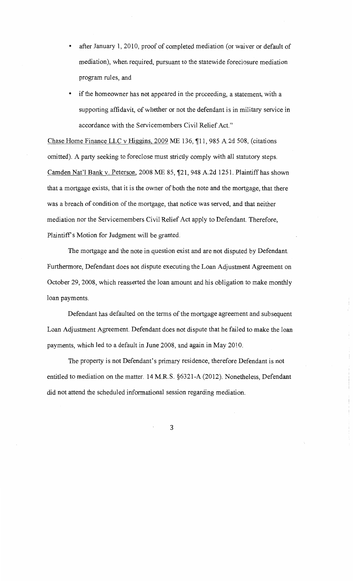- after January 1, 2010, proof of completed mediation (or waiver or default of mediation), when required, pursuant to the statewide foreclosure mediation program rules, and
- if the homeowner has not appeared in the proceeding, a statement, with a supporting affidavit, of whether or not the defendant is in military service in accordance with the Servicemembers Civil Relief Act."

Chase Home Finance LLC v Higgins,  $2009$  ME 136,  $\P$ 11, 985 A.2d 508, (citations omitted). A party seeking to foreclose must strictly comply with all statutory steps. Camden Nat'l Bank v. Peterson, 2008 ME 85, ¶21, 948 A.2d 1251. Plaintiff has shown that a mortgage exists, that it is the owner of both the note and the mortgage, that there was a breach of condition of the mortgage, that notice was served, and that neither mediation nor the Servicemembers Civil Relief Act apply to Defendant. Therefore, Plaintiff's Motion for Judgment will be granted.

The mortgage and the note in question exist and are not disputed by Defendant. Furthermore, Defendant does not dispute executing the Loan Adjustment Agreement on October 29, 2008, which reasserted the loan amount and his obligation to make monthly loan payments.

Defendant has defaulted on the terms of the mortgage agreement and subsequent Loan Adjustment Agreement. Defendant does not dispute that he failed to make the loan payments, which led to a default in June 2008, and again in May 2010.

The property is not Defendant's primary residence, therefore Defendant is not entitled to mediation on the matter. 14 M.R.S. §6321-A (2012). Nonetheless, Defendant did not attend the scheduled informational session regarding mediation.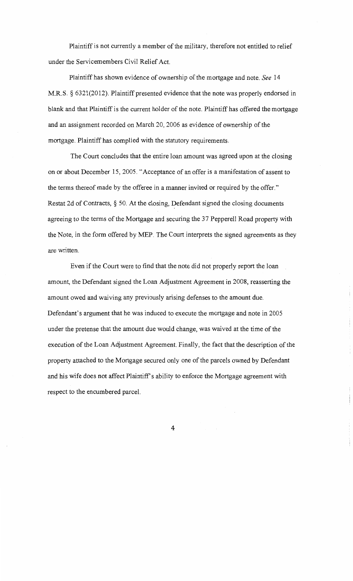Plaintiff is not currently a member of the military, therefore not entitled to relief under the Servicemembers Civil Relief Act.

Plaintiff has shown evidence of ownership of the mortgage and note. *See* 14 M.R.S. § 6321(2012). Plaintiff presented evidence that the note was properly endorsed in blank and that Plaintiff is the current holder of the note. Plaintiff has offered the mortgage and an assignment recorded on March 20, 2006 as evidence of ownership of the mortgage. Plaintiff has complied with the statutory requirements.

The Court concludes that the entire loan amount was agreed upon at the closing on or about December 15, 2005. "Acceptance of an offer is a manifestation of assent to the terms thereof made by the offeree in a manner invited or required by the offer." Restat 2d of Contracts, §50. At the closing, Defendant signed the closing documents agreeing to the terms of the Mortgage and securing the 37 Pepperell Road property with the Note, in the form offered by MEP. The Court interprets the signed agreements as they are written.

Even if the Court were to find that the note did not properly report the loan amount, the Defendant signed the Loan Adjustment Agreement in 2008, reasserting the amount owed and waiving any previously arising defenses to the amount due. Defendant's argument that he was induced to execute the mortgage and note in 2005 under the pretense that the amount due would change, was waived at the time of the execution of the Loan Adjustment Agreement. Finally, the fact that the description of the property attached to the Mortgage secured only one of the parcels owned by Defendant and his wife does not affect Plaintiff's ability to enforce the Mortgage agreement with respect to the encumbered parcel.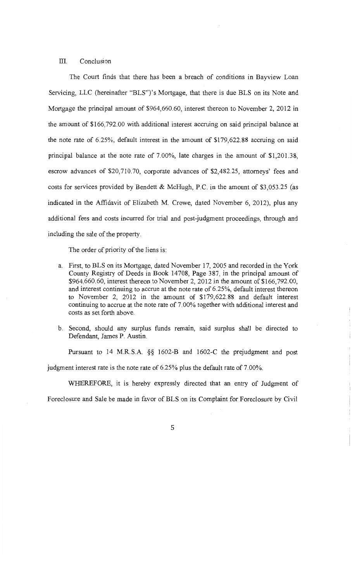## III. Conclusion

The Court finds that there has been a breach of conditions in Bayview Loan Servicing, LLC (hereinafter "BLS")'s Mortgage, that there is due BLS on its Note and Mortgage the principal amount of \$964,660.60, interest thereon to November 2, 2012 in the amount of \$166,792.00 with additional interest accruing on said principal balance at the note rate of 6.25%, default interest in the amount of \$179,622.88 accruing on said principal balance at the note rate of 7.00%, late charges in the amount of \$1,201.38, escrow advances of \$20,710.70, corporate advances of \$2,482.25, attorneys' fees and costs for services provided by Bendett & McHugh, P.C. in the amount of \$3,053.25 (as indicated in the Affidavit of Elizabeth M. Crowe, dated November 6, 2012), plus any additional fees and costs incurred for trial and post-judgment proceedings, through and including the sale of the property.

The order of priority of the liens is:

- a. First, to BLS on its Mortgage, dated November 17, 2005 and recorded in the York County Registry of Deeds in Book 14708, Page 387, in the principal amount of \$964,660.60, interest thereon to November 2, 2012 in the amount of \$166,792.00, and interest continuing to accrue at the note rate of 6.25%, default interest thereon to November 2, 2012 in the amount of \$179,622.88 and default interest continuing to accrue at the note rate of 7.00% together with additional interest and costs as set forth above.
- b. Second, should any surplus funds remain, said surplus shall be directed to Defendant, James P. Austin.

Pursuant to 14 M.R.S.A. §§ 1602-B and 1602-C the prejudgment and post judgment interest rate is the note rate of 6.25% plus the default rate of 7.00%.

WHEREFORE, it is hereby expressly directed that an entry of Judgment of Foreclosure and Sale be made in favor of BLS on its Complaint for Foreclosure by Civil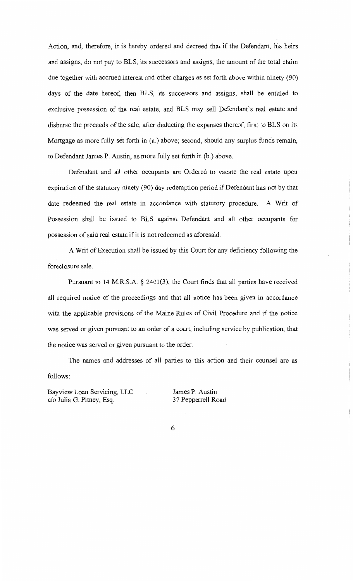Action, and, therefore, it is hereby ordered and decreed that if the Defendant, his heirs and assigns, do not pay to BLS, its successors and assigns, the amount of the total claim due together with accrued interest and other charges as set forth above within ninety (90) days of the date hereof, then BLS, its successors and assigns, shall be entitled to exclusive possession of the real estate, and BLS may sell Defendant's real estate and disburse the proceeds of the sale, after deducting the expenses thereof, first to BLS on its Mortgage as more fully set forth in (a.) above; second, should any surplus funds remain, to Defendant James P. Austin, as more fully set forth in (b.) above.

Defendant and all other occupants are Ordered to vacate the real estate upon expiration of the statutory ninety (90) day redemption period if Defendant has not by that date redeemed the real estate in accordance with statutory procedure. A Writ of Possession shall be issued to BLS against Defendant and all other occupants for possession of said real estate if it is not redeemed as aforesaid.

A Writ of Execution shall be issued by this Court for any deficiency following the foreclosure sale.

Pursuant to  $14$  M.R.S.A. § 2401(3), the Court finds that all parties have received all required notice of the proceedings and that all notice has been given in accordance with the applicable provisions of the Maine Rules of Civil Procedure and if the notice was served or given pursuant to an order of a court, including service by publication, that the notice was served or given pursuant to the order.

The names and addresses of all parties to this action and their counsel are as follows:

Bayview Loan Servicing, LLC c/o Julia G. Pitney, Esq.

James P. Austin 3 7 Pepperrell Road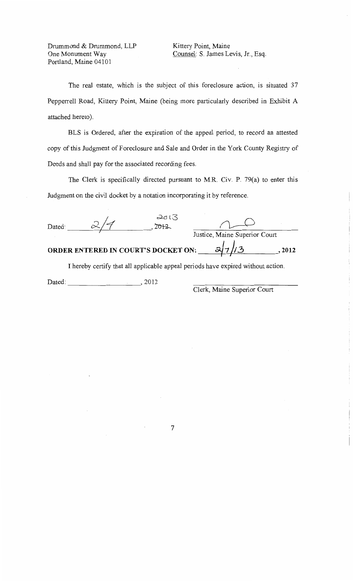Drummond & Drummond, LLP One Monument Way Portland, Maine 04101

Kittery Point, Maine Counsel: S. James Levis, Jr., Esq.

The real estate, which is the subject of this foreclosure action, is situated 37 Pepperrell Road, Kittery Point, Maine (being more particularly described in Exhibit A attached hereto).

BLS is Ordered, after the expiration of the appeal period, to record an attested copy of this Judgment of Foreclosure and Sale and Order in the York County Registry of Deeds and shall pay for the associated recording fees.

The Clerk is specifically directed pursuant to M.R. Civ. P. 79(a) to enter this Judgment on the civil docket by a notation incorporating it by reference.

| Dated: |                                     | 2013<br>7012 |                               |      |
|--------|-------------------------------------|--------------|-------------------------------|------|
|        |                                     |              | Justice, Maine Superior Court |      |
|        | ORDER ENTERED IN COURT'S DOCKET ON: |              |                               | 2012 |

I hereby certify that all applicable appeal periods have expired without action.

Dated: \_\_\_\_\_\_\_\_\_ ,, 2012

Clerk, Maine Superior Court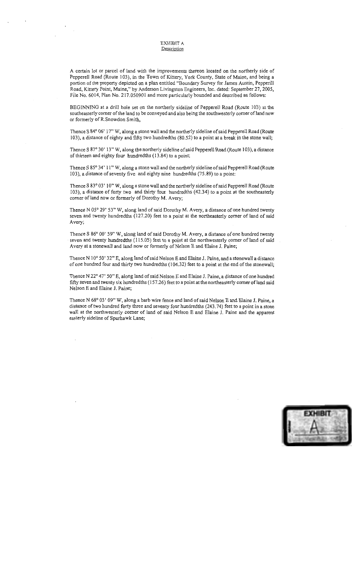#### EXHIBIT A **Description**

A certain lot or parcel of land with the improvements thereon located on the northerly side of Pepperell Road (Route 103), in the Town of Kittery, York County, State of Maine, and being a portion ofthe property depicted on a plan entitled "Boundary Survey for James Austin, Pepperill Road, Kittery Point, Maine," by Anderson Livingston Engineers, Inc. dated: September 27, 2005, File No. 6014, Plan No. 217.050901 and more particularly bounded and described as follows:

BEGINNING at a drill hole set on the northerly sideline of Pepperell Road (Route 103) at the southeasterly comer of the land to be conveyed and also being the southwesterly comer efland now or formerly ofR.Snowdon Smith,

Thence S 84° 06' 17" W, along a stone wall and the northerly sideline of said Pepperell Road (Route l 03), a distance of eighty and fifty two hundredths (80.52) to a point at a break in the stone wall;

Thence S 87° 30' 13" W, along the northerly sideline of said Pepperell Road (Route 103), a distance of thirteen and eighty four hundredths (13.84) to a point;

Thence S 85° 34' 11" W, along a stone wall and the northerly sideline of said Pepperell Road (Route 103), a distance of seventy five and eighty nine hundredths (75.89) to a point:

Thence S 83° 03' 10" W, along a stone wall and the northerly sideline of said Pepperell Road (Route 103), a distance of forty two and thirty four hundredths (42.34) to a point at the southeasterly comer of land now or formerly of Dorothy M. Avery;

Thence N 05° 29' 53" W, along land of said Dorothy M. Avery, a distance of one hundred twenty seven and twenty hundredths (127.20) feet to a point at the northeasterly comer of land of said Avery;

Thence S 86° 00' 59" W, along land of said Dorothy M. Avery, a distance of one hundred twenty seven and twenty hundredths ( 115 .05) feet to a point at the northwesterly comer of land of said Avery at a stonewall and land now or formerly of Nelson E and Elaine J. Paine;

Thence N 10° 50' 32" E, along land of said Nelson E and Elaine J. Paine, and a stonewall a distance of one hundred four and thirty two hundredths (1 04.32) feet to a point at the end of the stonewall;

Thence N 22° 47' 50" E, along land of said Nelson E and Elaine J. Paine, a distance of one hundred fifty seven and twenty six hundredths (157.26) feet to a point at the northeasterly corner of land said Nelson E and Elaine J. Paine;

Thence N 68° 03' 09" W, along a barb wire fence and land of said Nelson E and Elaine J. Paine, a distance of two hundred forty three and seventy four hundredths (243. 74) feet to a point in a stone wall at the northwesterly corner of land of said Nelson E and Elaine J. Paine and the apparent easterly sideline of Spurhawk Lane;

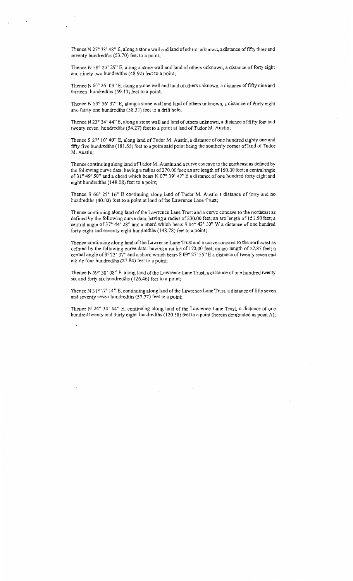Thence N 27° 38' 48" E, along a stone wall and land of others unknown, a distance of fifty three and seventy hundredths (53.70) feet to a point;

Thence N 58° 23' 29" E, along a stone wall and land of others unknown, a distance of forty eight and ninety two hundredths (48.92) feet to a point;

Thence N 60° 26' 09" E, along a stone wall and land of others unknown, a distance of fifty nine and thirteen hundredths (59.13) feet to a point;

Thence N 59° 56' 37" E, along a stone wall and land of others unknown, a distance of thirty eight and thirty one hundredths (38.31) feet to a drill hole;

Thence N 23° 34' 44" E, along a stone wall and land of others unknown, a distance of fifty four and twenty seven hundredths (54.27) feet to a point at land of Tudor M. Austin;

Thence S 27° 10' 40" E, along land of Tudor M. Austin, a distance of one hundred eighty one and fifty five hundredths (181.55) feet to a point said point being the southerly corner of land of Tudor M. Austin;

Thence continuing along land of Tudor M. Austin and a curve concave to the northeast as defined by the following curve data: having a radius of270.00 feet; an arc length of 150.00 feet; a central angle of 31° 49' 50" and a chord which bears N 07° 39' 49" E a distance of one hundred forty eight and eight hundredths (148.08) feet to a point;

Thence S 66° 25' 16" E continuing along land of Tudor M. Austin a distance of forty and no hundredths (40.00) feet to a point at land of the Lawrence Lane Trust;

Thence continuing along land of the Lawrence Lane Trust and a curve concave to the northeast as defined by the following curve data: having a radius of 230.00 feet; an arc length of 151.50 feet; a central angle of  $37^{\circ}$  44' 28" and a chord which bears S 04 $^{\circ}$  42' 30" W a distance of one hundred forty eight and seventy eight hundredths (148.78) feet to a point;

Thence continuing along land of the Lawrence Lane Trust and a curve concave to the northwest as defined by the following curve data: having a radius of 170.00 feet; an arc length of 27.87 feet; a central angle of 9° 23' 37" and a chord which bears S 09° 27' 55" E a distance of twenty seven and eighty four hundredths (27.84) feet to a point;

Thence N 59° 58' 08" E, along land of the Lawrence Lane Trust, a distance of one hundred twenty six and forty six hundredths ( 126.46) feet to a point;

Thence N 31° 17' 14" E, continuing along land of the Lawrence Lane Trust, a distance of fifty seven and seventy seven hundredths (57.77) feet to a point;

Thence N 24° 34' 44" E, continuing along land of the Lawrence Lane Trust, a distance of one hundred twenty and thirty eight hundredths (120.38) feet to a point (herein designated as point A);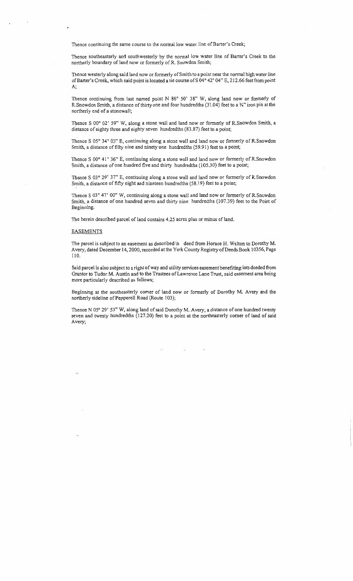Thence continuing the same course to the normal low water line of Barter's Creek;

Thence southeasterly and southwesterly by the normal low water line of Barter's Creek to the northerly boundary of land now or formerly of R. Snowden Smith;

Thence westerly along said land now or formerly of Smith to a point near the normal high water line of Barter's Creek, which said point is located a tie course ofS 04° 42' 04" E, 212.66 feet from point A;

Thence continuing from last named point N 86° 50' 38" W, along land now or formerly of R.Snowdon Smith, a distance of thirty one and four hundredths (31.04) feet to a Y.'' iron pin at the northerly end of a stonewall;

Thence S 00° 02' 59" W, along a stone wall and land now or formerly of R.Snowdon Smith, a distance of eighty three and eighty seven hundredths (83.87) feet to a point;

Thence S 05° 34' 03" E, continuing along a stone wall and land now or formerly of R.Snowdon Smith, a distance of fifty nine and ninety one hundredths (59.91) feet to a point;

Thence S 00° 41' 36" E, continuing along a stone wall and land now or formerly of R.Snowdon Smith, a distance of one hundred five and thirty hundredths (105.30) feet to a point;

Thence S 03° 29' 37" E, continuing along a stone wall and land now or formerly of R.Snowdon Smith, a distance of fifty eight and nineteen hundredths (58.19) feet to a point;

Thence S 03° 47' 00" W, continuing along a stone wall and land now or formerly of R.Snowdon Smith, a distance of one hundred seven and thirty nine hundredths (107.39) feet to the Point of Beginning.

The herein described parcel of land contains 4.25 acres plus or minus of land.

#### EASEMENTS

The parcel is subject to an easement as described in deed from Horace H. Walton to Dorothy M. Avery, dated December 14, 2000, recorded at the York County Registry of Deeds Book 1 0356, Page 110.

Said parcel is also subject to a right of way and utility services easement benefiting lots deeded from Grantor to Tudor M. Austin and to the Trustees of Lawrence Lane Trust, said easement area being more particularly described as follows;

Beginning at the southeasterly corner of land now or formerly of Dorothy M. Avery and the northerly sideline of Pepperell Road (Route 103);

Thence N 05° 29' 53" W, along land of said Dorothy M. Avery, a distance of one hundred twenty seven and twenty hundredths (127.20) feet to a point at the northeasterly corner of land of said Avery;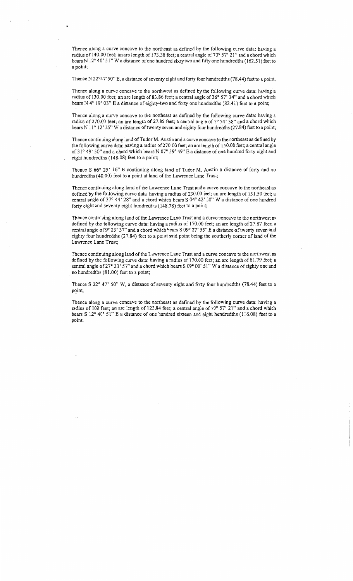Thence along a curve concave to the northeast as defined by the following curve data: having a radius of 140.00 feet; an arc length of 173.38 feet; a central angle of 70° 57' 21" and a chord which bears N 12° 40' 51" W a distance of one hundred sixty two and fifty one hundredths (162.51) feet to a point;

Thence N 22°47' 50" E, a distance of seventy eight and forty four hundredths (78.44) feet to a point,

Thence along a curve concave to the northwest as defined by the following curve data: having a radius of 130.00 feet; an arc length of 83.86 feet; a central angle of 36° 57' 34" and a chord which bears N 4° 19' 03" E a distance of eighty-two and forty one hundredths (82.41) feet to a point;

Thence along a curve concave to the northeast as defined by the following curve data: having a radius of 270.00 feet; an arc length of 27.85 feet; a central angle of 5° 54' 38" and a chord which bears N  $11^{\circ}$  12' 25" W a distance of twenty seven and eighty four hundredths (27.84) feet to a point;

Thence continuing along land of Tudor M. Austin and a curve concave to the northeast as defined by the following curve data: having a radius of270.00 feet; an arc length of 150.00 feet; a central angle of 31° 49' 50" and a chord which bears N 07° 39' 49" E a distance of one hundred forty eight and eight hundredths ( 148.08) feet to a point;

Thence S 66° 25' 16" E continuing along land of Tudor M. Austin a distance of forty and no hundredths ( 40.00) feet to a point at land of the Lawrence Lane Trust;

Thence continuing along land of the Lawrence Lane Trust and a curve concave to the northeast as defined by the following curve data: having a radius of 230.00 feet; an arc length of 151.50 feet; a central angle of 37° 44' 28" and a chord which bears S 04° 42' 30" W a distance of one hundred forty eight and seventy eight hundredths (148.78) feet to a point;

Thence continuing along land of the Lawrence Lane Trust and a curve concave to the northwest as defined by the following curve data: having a radius of 170.00 feet; an arc length of 27.87 feet; a central angle of 9° 23' 37" and a chord which bears S 09° 27' 55" E a distance of twenty seven and eighty four hundredths (27.84) feet to a point said point being the southerly corner of land of the Lawrence Lane Trust;

Thence continuing along land of the Lawrence Lane Trust and a curve concave to the northwest as defined by the following curve data: having a radius of 170.00 feet; an arc length of 81.79 feet; a central angle of 27° 33' 57" and a chord which bears S 09° 00' 51" W a distance of eighty one and no hundredths (81.00) feet to a point;

Thence S 22° 47' 50" W, a distance of seventy eight and forty four hundredths (78.44) feet to a point,

Thence along a curve concave to the northeast as defined by the following curve data: having a radius of 100 feet; an arc length of 123.84 feet; a central angle of 70° 57' 21" and a chord which bears S 12° 40' 51" E a distance of one hundred sixteen and eight hundredths (116.08) feet to a point;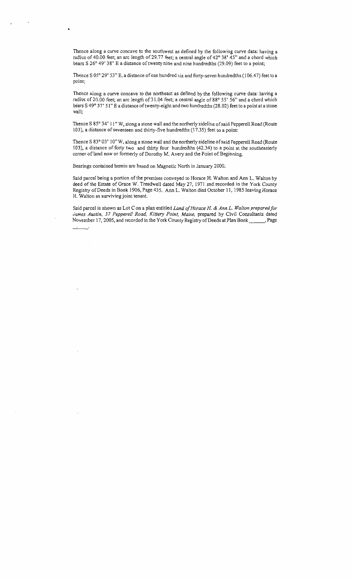Thence along a curve concave to the southwest as defined by the following curve data: having a radius of 40.00 feet; an arc length of 29.77 feet; a central angle of 42° 38' 45" and a chord which bears S 26° 49' 38" E a distance of twenty nine and nine hundredths (29.09) feet to a point;

Thence S 05° 29' 53" E, a distance of one hundred six and forty-seven hundredths (106.47) feet to a point;

Thence along a curve concave to the northeast as defined by the following curve data: having a radius of 20.00 feet; an arc length of 31.04 feet; a central angle of 88° 55' 56" and a chord which bears S 49° 57' 51" E a distance of twenty-eight and two hundredths (28.02) feet to a point at a stone wall;

Thence S 85° 34' 11" W, aJong a stone wall and the northerly sideline of said Pepperell Road (Route 103 ), a distance of seventeen and thirty-five hundredths ( 17 .35) feet to a point:

Thence S 83° 03' 10" W, along a stone wall and the northerly sideline of said Pepperell Road (Route 103), a distance of forty two and thirty four hundredths (42.34) to a point at the southeasterly comer of land now or formerly of Dorothy M. Avery and the Point of Beginning.

Bearings contained herein are based on Magnetic North in January 2000.

Said parcel being a portion of the premises conveyed to Horace H. Walton and Ann L. Walton by deed of the Estate of Grace W. Treadwell dated May 27, 1971 and recorded in the York County Registry of Deeds in Book 1906, Page 435. Ann L. Walton died October 11, 1985 leaving Horace H. Walton as surviving joint tenant.

Said parcel is shown as Lot Con a plan entitled *Land of Horace H.* & *Ann L. Walton prepared for*  James Austin, 37 Pepperell Road, Kittery Point, Maine, prepared by Civil Consultants dated November 17, 2005, and recorded in the York County Registry of Deeds at Plan Book \_\_\_\_\_, Page